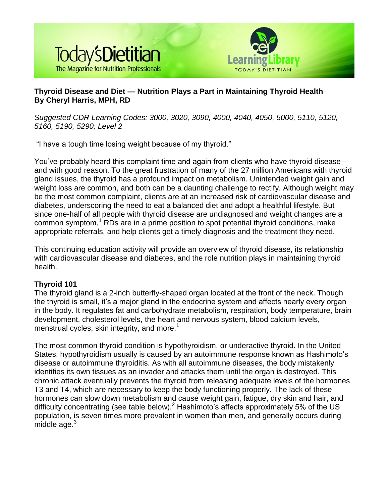

# **Thyroid Disease and Diet — Nutrition Plays a Part in Maintaining Thyroid Health By Cheryl Harris, MPH, RD**

*Suggested CDR Learning Codes: 3000, 3020, 3090, 4000, 4040, 4050, 5000, 5110, 5120, 5160, 5190, 5290; Level 2*

"I have a tough time losing weight because of my thyroid."

You've probably heard this complaint time and again from clients who have thyroid disease and with good reason. To the great frustration of many of the 27 million Americans with thyroid gland issues, the thyroid has a profound impact on metabolism. Unintended weight gain and weight loss are common, and both can be a daunting challenge to rectify. Although weight may be the most common complaint, clients are at an increased risk of cardiovascular disease and diabetes, underscoring the need to eat a balanced diet and adopt a healthful lifestyle. But since one-half of all people with thyroid disease are undiagnosed and weight changes are a common symptom, $<sup>1</sup>$  RDs are in a prime position to spot potential thyroid conditions, make</sup> appropriate referrals, and help clients get a timely diagnosis and the treatment they need.

This continuing education activity will provide an overview of thyroid disease, its relationship with cardiovascular disease and diabetes, and the role nutrition plays in maintaining thyroid health.

# **Thyroid 101**

The thyroid gland is a 2-inch butterfly-shaped organ located at the front of the neck. Though the thyroid is small, it's a major gland in the endocrine system and affects nearly every organ in the body. It regulates fat and carbohydrate metabolism, respiration, body temperature, brain development, cholesterol levels, the heart and nervous system, blood calcium levels, menstrual cycles, skin integrity, and more.<sup>1</sup>

The most common thyroid condition is hypothyroidism, or underactive thyroid. In the United States, hypothyroidism usually is caused by an autoimmune response known as Hashimoto's disease or autoimmune thyroiditis. As with all autoimmune diseases, the body mistakenly identifies its own tissues as an invader and attacks them until the organ is destroyed. This chronic attack eventually prevents the thyroid from releasing adequate levels of the hormones T3 and T4, which are necessary to keep the body functioning properly. The lack of these hormones can slow down metabolism and cause weight gain, fatigue, dry skin and hair, and difficulty concentrating (see table below).<sup>2</sup> Hashimoto's affects approximately 5% of the US population, is seven times more prevalent in women than men, and generally occurs during middle age. $3$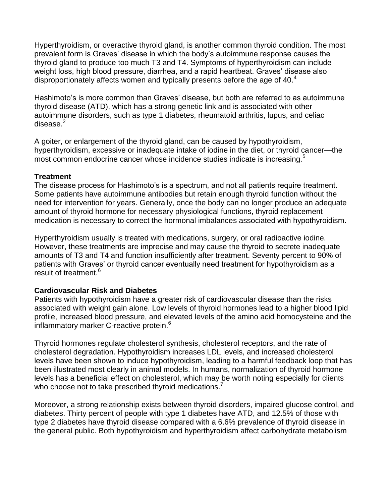Hyperthyroidism, or overactive thyroid gland, is another common thyroid condition. The most prevalent form is Graves' disease in which the body's autoimmune response causes the thyroid gland to produce too much T3 and T4. Symptoms of hyperthyroidism can include weight loss, high blood pressure, diarrhea, and a rapid heartbeat. Graves' disease also disproportionately affects women and typically presents before the age of 40.<sup>4</sup>

Hashimoto's is more common than Graves' disease, but both are referred to as autoimmune thyroid disease (ATD), which has a strong genetic link and is associated with other autoimmune disorders, such as type 1 diabetes, rheumatoid arthritis, lupus, and celiac disease. $2$ 

A goiter, or enlargement of the thyroid gland, can be caused by hypothyroidism, hyperthyroidism, excessive or inadequate intake of iodine in the diet, or thyroid cancer—the most common endocrine cancer whose incidence studies indicate is increasing.<sup>5</sup>

## **Treatment**

The disease process for Hashimoto's is a spectrum, and not all patients require treatment. Some patients have autoimmune antibodies but retain enough thyroid function without the need for intervention for years. Generally, once the body can no longer produce an adequate amount of thyroid hormone for necessary physiological functions, thyroid replacement medication is necessary to correct the hormonal imbalances associated with hypothyroidism.

Hyperthyroidism usually is treated with medications, surgery, or oral radioactive iodine. However, these treatments are imprecise and may cause the thyroid to secrete inadequate amounts of T3 and T4 and function insufficiently after treatment. Seventy percent to 90% of patients with Graves' or thyroid cancer eventually need treatment for hypothyroidism as a result of treatment.<sup>6</sup>

# **Cardiovascular Risk and Diabetes**

Patients with hypothyroidism have a greater risk of cardiovascular disease than the risks associated with weight gain alone. Low levels of thyroid hormones lead to a higher blood lipid profile, increased blood pressure, and elevated levels of the amino acid homocysteine and the inflammatory marker C-reactive protein.<sup>6</sup>

Thyroid hormones regulate cholesterol synthesis, cholesterol receptors, and the rate of cholesterol degradation. Hypothyroidism increases LDL levels, and increased cholesterol levels have been shown to induce hypothyroidism, leading to a harmful feedback loop that has been illustrated most clearly in animal models. In humans, normalization of thyroid hormone levels has a beneficial effect on cholesterol, which may be worth noting especially for clients who choose not to take prescribed thyroid medications.

Moreover, a strong relationship exists between thyroid disorders, impaired glucose control, and diabetes. Thirty percent of people with type 1 diabetes have ATD, and 12.5% of those with type 2 diabetes have thyroid disease compared with a 6.6% prevalence of thyroid disease in the general public. Both hypothyroidism and hyperthyroidism affect carbohydrate metabolism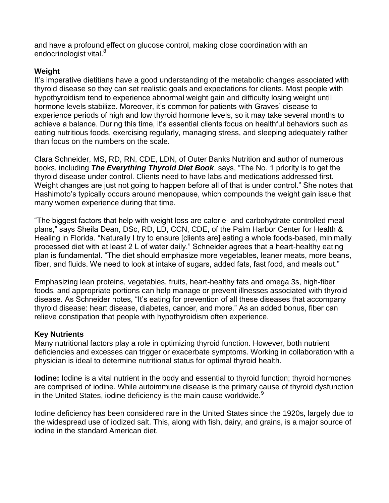and have a profound effect on glucose control, making close coordination with an endocrinologist vital.<sup>8</sup>

## **Weight**

It's imperative dietitians have a good understanding of the metabolic changes associated with thyroid disease so they can set realistic goals and expectations for clients. Most people with hypothyroidism tend to experience abnormal weight gain and difficulty losing weight until hormone levels stabilize. Moreover, it's common for patients with Graves' disease to experience periods of high and low thyroid hormone levels, so it may take several months to achieve a balance. During this time, it's essential clients focus on healthful behaviors such as eating nutritious foods, exercising regularly, managing stress, and sleeping adequately rather than focus on the numbers on the scale.

Clara Schneider, MS, RD, RN, CDE, LDN, of Outer Banks Nutrition and author of numerous books, including *The Everything Thyroid Diet Book*, says, "The No. 1 priority is to get the thyroid disease under control. Clients need to have labs and medications addressed first. Weight changes are just not going to happen before all of that is under control." She notes that Hashimoto's typically occurs around menopause, which compounds the weight gain issue that many women experience during that time.

"The biggest factors that help with weight loss are calorie- and carbohydrate-controlled meal plans," says Sheila Dean, DSc, RD, LD, CCN, CDE, of the Palm Harbor Center for Health & Healing in Florida. "Naturally I try to ensure [clients are] eating a whole foods-based, minimally processed diet with at least 2 L of water daily." Schneider agrees that a heart-healthy eating plan is fundamental. "The diet should emphasize more vegetables, leaner meats, more beans, fiber, and fluids. We need to look at intake of sugars, added fats, fast food, and meals out."

Emphasizing lean proteins, vegetables, fruits, heart-healthy fats and omega 3s, high-fiber foods, and appropriate portions can help manage or prevent illnesses associated with thyroid disease. As Schneider notes, "It's eating for prevention of all these diseases that accompany thyroid disease: heart disease, diabetes, cancer, and more." As an added bonus, fiber can relieve constipation that people with hypothyroidism often experience.

### **Key Nutrients**

Many nutritional factors play a role in optimizing thyroid function. However, both nutrient deficiencies and excesses can trigger or exacerbate symptoms. Working in collaboration with a physician is ideal to determine nutritional status for optimal thyroid health.

**Iodine:** Iodine is a vital nutrient in the body and essential to thyroid function; thyroid hormones are comprised of iodine. While autoimmune disease is the primary cause of thyroid dysfunction in the United States, iodine deficiency is the main cause worldwide. $9$ 

Iodine deficiency has been considered rare in the United States since the 1920s, largely due to the widespread use of iodized salt. This, along with fish, dairy, and grains, is a major source of iodine in the standard American diet.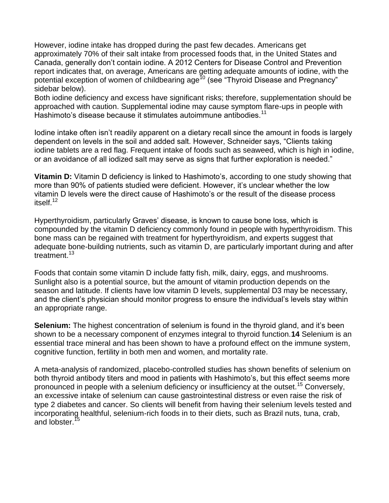However, iodine intake has dropped during the past few decades. Americans get approximately 70% of their salt intake from processed foods that, in the United States and Canada, generally don't contain iodine. A 2012 Centers for Disease Control and Prevention report indicates that, on average, Americans are getting adequate amounts of iodine, with the potential exception of women of childbearing age<sup>10</sup> (see "Thyroid Disease and Pregnancy" sidebar below).

Both iodine deficiency and excess have significant risks; therefore, supplementation should be approached with caution. Supplemental iodine may cause symptom flare-ups in people with Hashimoto's disease because it stimulates autoimmune antibodies.<sup>11</sup>

Iodine intake often isn't readily apparent on a dietary recall since the amount in foods is largely dependent on levels in the soil and added salt. However, Schneider says, "Clients taking iodine tablets are a red flag. Frequent intake of foods such as seaweed, which is high in iodine, or an avoidance of all iodized salt may serve as signs that further exploration is needed."

**Vitamin D:** Vitamin D deficiency is linked to Hashimoto's, according to one study showing that more than 90% of patients studied were deficient. However, it's unclear whether the low vitamin D levels were the direct cause of Hashimoto's or the result of the disease process itself $12$ 

Hyperthyroidism, particularly Graves' disease, is known to cause bone loss, which is compounded by the vitamin D deficiency commonly found in people with hyperthyroidism. This bone mass can be regained with treatment for hyperthyroidism, and experts suggest that adequate bone-building nutrients, such as vitamin D, are particularly important during and after treatment.<sup>13</sup>

Foods that contain some vitamin D include fatty fish, milk, dairy, eggs, and mushrooms. Sunlight also is a potential source, but the amount of vitamin production depends on the season and latitude. If clients have low vitamin D levels, supplemental D3 may be necessary, and the client's physician should monitor progress to ensure the individual's levels stay within an appropriate range.

**Selenium:** The highest concentration of selenium is found in the thyroid gland, and it's been shown to be a necessary component of enzymes integral to thyroid function.**14** Selenium is an essential trace mineral and has been shown to have a profound effect on the immune system, cognitive function, fertility in both men and women, and mortality rate.

A meta-analysis of randomized, placebo-controlled studies has shown benefits of selenium on both thyroid antibody titers and mood in patients with Hashimoto's, but this effect seems more pronounced in people with a selenium deficiency or insufficiency at the outset.<sup>15</sup> Conversely, an excessive intake of selenium can cause gastrointestinal distress or even raise the risk of type 2 diabetes and cancer. So clients will benefit from having their selenium levels tested and incorporating healthful, selenium-rich foods in to their diets, such as Brazil nuts, tuna, crab, and lobster.<sup>15</sup>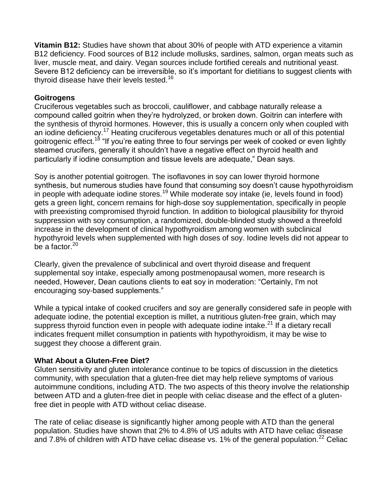**Vitamin B12:** Studies have shown that about 30% of people with ATD experience a vitamin B12 deficiency. Food sources of B12 include mollusks, sardines, salmon, organ meats such as liver, muscle meat, and dairy. Vegan sources include fortified cereals and nutritional yeast. Severe B12 deficiency can be irreversible, so it's important for dietitians to suggest clients with thyroid disease have their levels tested.<sup>16</sup>

## **Goitrogens**

Cruciferous vegetables such as broccoli, cauliflower, and cabbage naturally release a compound called goitrin when they're hydrolyzed, or broken down. Goitrin can interfere with the synthesis of thyroid hormones. However, this is usually a concern only when coupled with an iodine deficiency.<sup>17</sup> Heating cruciferous vegetables denatures much or all of this potential goitrogenic effect.<sup>18</sup> "If you're eating three to four servings per week of cooked or even lightly steamed crucifers, generally it shouldn't have a negative effect on thyroid health and particularly if iodine consumption and tissue levels are adequate," Dean says.

Soy is another potential goitrogen. The isoflavones in soy can lower thyroid hormone synthesis, but numerous studies have found that consuming soy doesn't cause hypothyroidism in people with adequate iodine stores.<sup>19</sup> While moderate soy intake (ie, levels found in food) gets a green light, concern remains for high-dose soy supplementation, specifically in people with preexisting compromised thyroid function. In addition to biological plausibility for thyroid suppression with soy consumption, a randomized, double-blinded study showed a threefold increase in the development of clinical hypothyroidism among women with subclinical hypothyroid levels when supplemented with high doses of soy. Iodine levels did not appear to be a factor. $20$ 

Clearly, given the prevalence of subclinical and overt thyroid disease and frequent supplemental soy intake, especially among postmenopausal women, more research is needed, However, Dean cautions clients to eat soy in moderation: "Certainly, I'm not encouraging soy-based supplements."

While a typical intake of cooked crucifers and soy are generally considered safe in people with adequate iodine, the potential exception is millet, a nutritious gluten-free grain, which may suppress thyroid function even in people with adequate iodine intake.<sup>21</sup> If a dietary recall indicates frequent millet consumption in patients with hypothyroidism, it may be wise to suggest they choose a different grain.

### **What About a Gluten-Free Diet?**

Gluten sensitivity and gluten intolerance continue to be topics of discussion in the dietetics community, with speculation that a gluten-free diet may help relieve symptoms of various autoimmune conditions, including ATD. The two aspects of this theory involve the relationship between ATD and a gluten-free diet in people with celiac disease and the effect of a glutenfree diet in people with ATD without celiac disease.

The rate of celiac disease is significantly higher among people with ATD than the general population. Studies have shown that 2% to 4.8% of US adults with ATD have celiac disease and 7.8% of children with ATD have celiac disease vs. 1% of the general population.<sup>22</sup> Celiac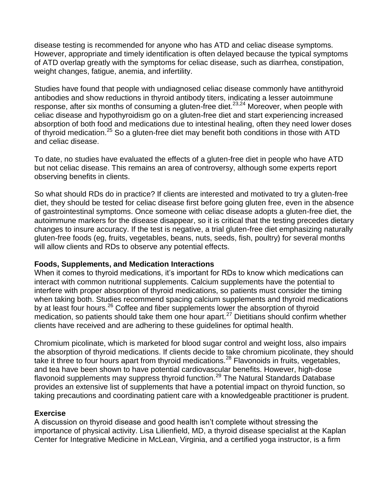disease testing is recommended for anyone who has ATD and celiac disease symptoms. However, appropriate and timely identification is often delayed because the typical symptoms of ATD overlap greatly with the symptoms for celiac disease, such as diarrhea, constipation, weight changes, fatigue, anemia, and infertility.

Studies have found that people with undiagnosed celiac disease commonly have antithyroid antibodies and show reductions in thyroid antibody titers, indicating a lesser autoimmune response, after six months of consuming a gluten-free diet.<sup>23,24</sup> Moreover, when people with celiac disease and hypothyroidism go on a gluten-free diet and start experiencing increased absorption of both food and medications due to intestinal healing, often they need lower doses of thyroid medication.<sup>25</sup> So a gluten-free diet may benefit both conditions in those with ATD and celiac disease.

To date, no studies have evaluated the effects of a gluten-free diet in people who have ATD but not celiac disease. This remains an area of controversy, although some experts report observing benefits in clients.

So what should RDs do in practice? If clients are interested and motivated to try a gluten-free diet, they should be tested for celiac disease first before going gluten free, even in the absence of gastrointestinal symptoms. Once someone with celiac disease adopts a gluten-free diet, the autoimmune markers for the disease disappear, so it is critical that the testing precedes dietary changes to insure accuracy. If the test is negative, a trial gluten-free diet emphasizing naturally gluten-free foods (eg, fruits, vegetables, beans, nuts, seeds, fish, poultry) for several months will allow clients and RDs to observe any potential effects.

### **Foods, Supplements, and Medication Interactions**

When it comes to thyroid medications, it's important for RDs to know which medications can interact with common nutritional supplements. Calcium supplements have the potential to interfere with proper absorption of thyroid medications, so patients must consider the timing when taking both. Studies recommend spacing calcium supplements and thyroid medications by at least four hours.<sup>26</sup> Coffee and fiber supplements lower the absorption of thyroid medication, so patients should take them one hour apart.<sup>27</sup> Dietitians should confirm whether clients have received and are adhering to these guidelines for optimal health.

Chromium picolinate, which is marketed for blood sugar control and weight loss, also impairs the absorption of thyroid medications. If clients decide to take chromium picolinate, they should take it three to four hours apart from thyroid medications.<sup>28</sup> Flavonoids in fruits, vegetables, and tea have been shown to have potential cardiovascular benefits. However, high-dose flavonoid supplements may suppress thyroid function.<sup>29</sup> The Natural Standards Database provides an extensive list of supplements that have a potential impact on thyroid function, so taking precautions and coordinating patient care with a knowledgeable practitioner is prudent.

# **Exercise**

A discussion on thyroid disease and good health isn't complete without stressing the importance of physical activity. Lisa Lilienfield, MD, a thyroid disease specialist at the Kaplan Center for Integrative Medicine in McLean, Virginia, and a certified yoga instructor, is a firm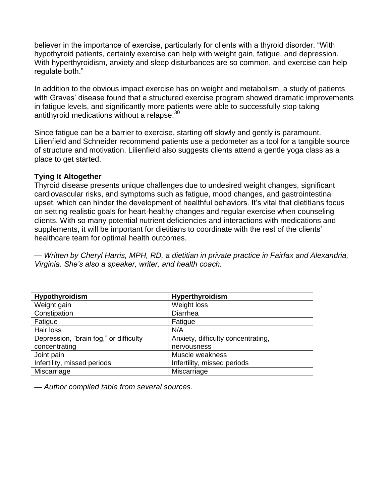believer in the importance of exercise, particularly for clients with a thyroid disorder. "With hypothyroid patients, certainly exercise can help with weight gain, fatigue, and depression. With hyperthyroidism, anxiety and sleep disturbances are so common, and exercise can help regulate both."

In addition to the obvious impact exercise has on weight and metabolism, a study of patients with Graves' disease found that a structured exercise program showed dramatic improvements in fatigue levels, and significantly more patients were able to successfully stop taking antithyroid medications without a relapse.<sup>30</sup>

Since fatigue can be a barrier to exercise, starting off slowly and gently is paramount. Lilienfield and Schneider recommend patients use a pedometer as a tool for a tangible source of structure and motivation. Lilienfield also suggests clients attend a gentle yoga class as a place to get started.

## **Tying It Altogether**

Thyroid disease presents unique challenges due to undesired weight changes, significant cardiovascular risks, and symptoms such as fatigue, mood changes, and gastrointestinal upset, which can hinder the development of healthful behaviors. It's vital that dietitians focus on setting realistic goals for heart-healthy changes and regular exercise when counseling clients. With so many potential nutrient deficiencies and interactions with medications and supplements, it will be important for dietitians to coordinate with the rest of the clients' healthcare team for optimal health outcomes.

*— Written by Cheryl Harris, MPH, RD, a dietitian in private practice in Fairfax and Alexandria, Virginia. She's also a speaker, writer, and health coach.*

| <b>Hypothyroidism</b>                  | Hyperthyroidism                    |
|----------------------------------------|------------------------------------|
| Weight gain                            | Weight loss                        |
| Constipation                           | Diarrhea                           |
| Fatigue                                | Fatigue                            |
| Hair loss                              | N/A                                |
| Depression, "brain fog," or difficulty | Anxiety, difficulty concentrating, |
| concentrating                          | nervousness                        |
| Joint pain                             | Muscle weakness                    |
| Infertility, missed periods            | Infertility, missed periods        |
| Miscarriage                            | Miscarriage                        |

*— Author compiled table from several sources.*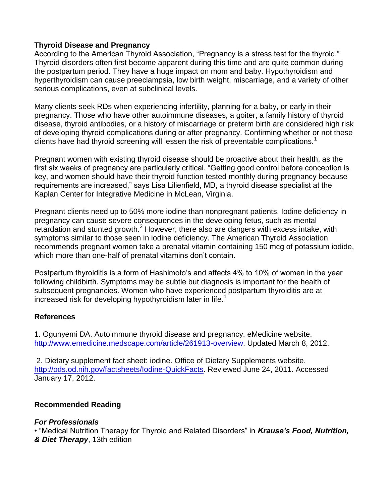## **Thyroid Disease and Pregnancy**

According to the American Thyroid Association, "Pregnancy is a stress test for the thyroid." Thyroid disorders often first become apparent during this time and are quite common during the postpartum period. They have a huge impact on mom and baby. Hypothyroidism and hyperthyroidism can cause preeclampsia, low birth weight, miscarriage, and a variety of other serious complications, even at subclinical levels.

Many clients seek RDs when experiencing infertility, planning for a baby, or early in their pregnancy. Those who have other autoimmune diseases, a goiter, a family history of thyroid disease, thyroid antibodies, or a history of miscarriage or preterm birth are considered high risk of developing thyroid complications during or after pregnancy. Confirming whether or not these clients have had thyroid screening will lessen the risk of preventable complications.<sup>1</sup>

Pregnant women with existing thyroid disease should be proactive about their health, as the first six weeks of pregnancy are particularly critical. "Getting good control before conception is key, and women should have their thyroid function tested monthly during pregnancy because requirements are increased," says Lisa Lilienfield, MD, a thyroid disease specialist at the Kaplan Center for Integrative Medicine in McLean, Virginia.

Pregnant clients need up to 50% more iodine than nonpregnant patients. Iodine deficiency in pregnancy can cause severe consequences in the developing fetus, such as mental retardation and stunted growth. $<sup>2</sup>$  However, there also are dangers with excess intake, with</sup> symptoms similar to those seen in iodine deficiency. The American Thyroid Association recommends pregnant women take a prenatal vitamin containing 150 mcg of potassium iodide, which more than one-half of prenatal vitamins don't contain.

Postpartum thyroiditis is a form of Hashimoto's and affects 4% to 10% of women in the year following childbirth. Symptoms may be subtle but diagnosis is important for the health of subsequent pregnancies. Women who have experienced postpartum thyroiditis are at increased risk for developing hypothyroidism later in life.<sup>1</sup>

### **References**

1. Ogunyemi DA. Autoimmune thyroid disease and pregnancy. eMedicine website. [http://www.emedicine.medscape.com/article/261913-overview.](http://www.emedicine.medscape.com/article/261913-overview) Updated March 8, 2012.

2. Dietary supplement fact sheet: iodine. Office of Dietary Supplements website. [http://ods.od.nih.gov/factsheets/Iodine-QuickFacts.](http://ods.od.nih.gov/factsheets/Iodine-QuickFacts) Reviewed June 24, 2011. Accessed January 17, 2012.

# **Recommended Reading**

# *For Professionals*

• "Medical Nutrition Therapy for Thyroid and Related Disorders" in *Krause's Food, Nutrition, & Diet Therapy*, 13th edition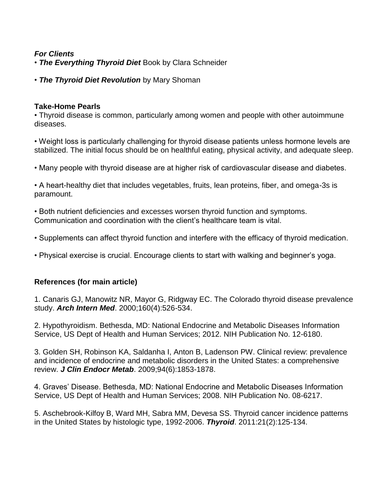# *For Clients*

• *The Everything Thyroid Diet* Book by Clara Schneider

• *The Thyroid Diet Revolution* by Mary Shoman

### **Take-Home Pearls**

• Thyroid disease is common, particularly among women and people with other autoimmune diseases.

• Weight loss is particularly challenging for thyroid disease patients unless hormone levels are stabilized. The initial focus should be on healthful eating, physical activity, and adequate sleep.

• Many people with thyroid disease are at higher risk of cardiovascular disease and diabetes.

• A heart-healthy diet that includes vegetables, fruits, lean proteins, fiber, and omega-3s is paramount.

• Both nutrient deficiencies and excesses worsen thyroid function and symptoms. Communication and coordination with the client's healthcare team is vital.

• Supplements can affect thyroid function and interfere with the efficacy of thyroid medication.

• Physical exercise is crucial. Encourage clients to start with walking and beginner's yoga.

# **References (for main article)**

1. Canaris GJ, Manowitz NR, Mayor G, Ridgway EC. The Colorado thyroid disease prevalence study. *Arch Intern Med*. 2000;160(4):526-534.

2. Hypothyroidism. Bethesda, MD: National Endocrine and Metabolic Diseases Information Service, US Dept of Health and Human Services; 2012. NIH Publication No. 12-6180.

3. Golden SH, Robinson KA, Saldanha I, Anton B, Ladenson PW. Clinical review: prevalence and incidence of endocrine and metabolic disorders in the United States: a comprehensive review. *J Clin Endocr Metab*. 2009;94(6):1853-1878.

4. Graves' Disease. Bethesda, MD: National Endocrine and Metabolic Diseases Information Service, US Dept of Health and Human Services; 2008. NIH Publication No. 08-6217.

5. Aschebrook-Kilfoy B, Ward MH, Sabra MM, Devesa SS. Thyroid cancer incidence patterns in the United States by histologic type, 1992-2006. *Thyroid*. 2011:21(2):125-134.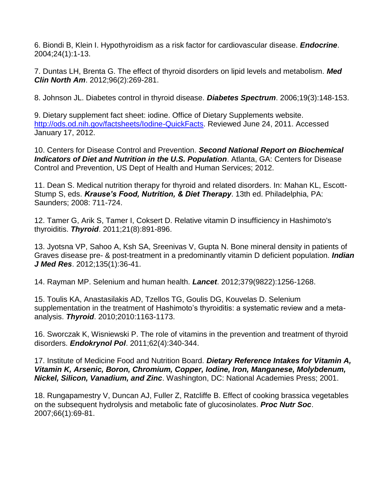6. Biondi B, Klein I. Hypothyroidism as a risk factor for cardiovascular disease. *Endocrine*. 2004;24(1):1-13.

7. Duntas LH, Brenta G. The effect of thyroid disorders on lipid levels and metabolism. *Med Clin North Am*. 2012;96(2):269-281.

8. Johnson JL. Diabetes control in thyroid disease. *Diabetes Spectrum*. 2006;19(3):148-153.

9. Dietary supplement fact sheet: iodine. Office of Dietary Supplements website. [http://ods.od.nih.gov/factsheets/Iodine-QuickFacts.](http://ods.od.nih.gov/factsheets/Iodine-QuickFacts) Reviewed June 24, 2011. Accessed January 17, 2012.

10. Centers for Disease Control and Prevention. *Second National Report on Biochemical Indicators of Diet and Nutrition in the U.S. Population*. Atlanta, GA: Centers for Disease Control and Prevention, US Dept of Health and Human Services; 2012.

11. Dean S. Medical nutrition therapy for thyroid and related disorders. In: Mahan KL, Escott-Stump S, eds. *Krause's Food, Nutrition, & Diet Therapy*. 13th ed. Philadelphia, PA: Saunders; 2008: 711-724.

12. Tamer G, Arik S, Tamer I, Coksert D. Relative vitamin D insufficiency in Hashimoto's thyroiditis. *Thyroid*. 2011;21(8):891-896.

13. Jyotsna VP, Sahoo A, Ksh SA, Sreenivas V, Gupta N. Bone mineral density in patients of Graves disease pre- & post-treatment in a predominantly vitamin D deficient population. *Indian J Med Res*. 2012;135(1):36-41.

14. Rayman MP. Selenium and human health. *Lancet*. 2012;379(9822):1256-1268.

15. Toulis KA, Anastasilakis AD, Tzellos TG, Goulis DG, Kouvelas D. Selenium supplementation in the treatment of Hashimoto's thyroiditis: a systematic review and a metaanalysis. *Thyroid*. 2010;2010:1163-1173.

16. Sworczak K, Wisniewski P. The role of vitamins in the prevention and treatment of thyroid disorders. *Endokrynol Pol*. 2011;62(4):340-344.

17. Institute of Medicine Food and Nutrition Board. *Dietary Reference Intakes for Vitamin A, Vitamin K, Arsenic, Boron, Chromium, Copper, Iodine, Iron, Manganese, Molybdenum, Nickel, Silicon, Vanadium, and Zinc*. Washington, DC: National Academies Press; 2001.

18. Rungapamestry V, Duncan AJ, Fuller Z, Ratcliffe B. Effect of cooking brassica vegetables on the subsequent hydrolysis and metabolic fate of glucosinolates. *Proc Nutr Soc*. 2007;66(1):69-81.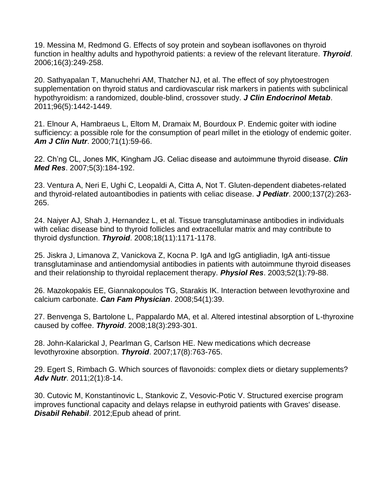19. Messina M, Redmond G. Effects of soy protein and soybean isoflavones on thyroid function in healthy adults and hypothyroid patients: a review of the relevant literature. *Thyroid*. 2006;16(3):249-258.

20. Sathyapalan T, Manuchehri AM, Thatcher NJ, et al. The effect of soy phytoestrogen supplementation on thyroid status and cardiovascular risk markers in patients with subclinical hypothyroidism: a randomized, double-blind, crossover study. *J Clin Endocrinol Metab*. 2011;96(5):1442-1449.

21. Elnour A, Hambraeus L, Eltom M, Dramaix M, Bourdoux P. Endemic goiter with iodine sufficiency: a possible role for the consumption of pearl millet in the etiology of endemic goiter. *Am J Clin Nutr*. 2000;71(1):59-66.

22. Ch'ng CL, Jones MK, Kingham JG. Celiac disease and autoimmune thyroid disease. *Clin Med Res*. 2007;5(3):184-192.

23. Ventura A, Neri E, Ughi C, Leopaldi A, Citta A, Not T. Gluten-dependent diabetes-related and thyroid-related autoantibodies in patients with celiac disease. *J Pediatr*. 2000;137(2):263- 265.

24. Naiyer AJ, Shah J, Hernandez L, et al. Tissue transglutaminase antibodies in individuals with celiac disease bind to thyroid follicles and extracellular matrix and may contribute to thyroid dysfunction. *Thyroid*. 2008;18(11):1171-1178.

25. Jiskra J, Limanova Z, Vanickova Z, Kocna P. IgA and IgG antigliadin, IgA anti-tissue transglutaminase and antiendomysial antibodies in patients with autoimmune thyroid diseases and their relationship to thyroidal replacement therapy. *Physiol Res*. 2003;52(1):79-88.

26. Mazokopakis EE, Giannakopoulos TG, Starakis IK. Interaction between levothyroxine and calcium carbonate. *Can Fam Physician*. 2008;54(1):39.

27. Benvenga S, Bartolone L, Pappalardo MA, et al. Altered intestinal absorption of L-thyroxine caused by coffee. *Thyroid*. 2008;18(3):293-301.

28. John-Kalarickal J, Pearlman G, Carlson HE. New medications which decrease levothyroxine absorption. *Thyroid*. 2007;17(8):763-765.

29. Egert S, Rimbach G. Which sources of flavonoids: complex diets or dietary supplements? *Adv Nutr*. 2011;2(1):8-14.

30. Cutovic M, Konstantinovic L, Stankovic Z, Vesovic-Potic V. Structured exercise program improves functional capacity and delays relapse in euthyroid patients with Graves' disease. *Disabil Rehabil*. 2012;Epub ahead of print.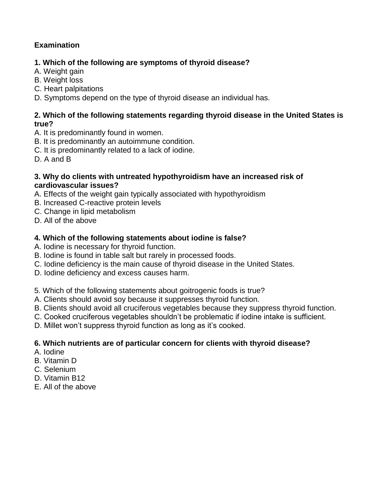# **Examination**

# **1. Which of the following are symptoms of thyroid disease?**

- A. Weight gain
- B. Weight loss
- C. Heart palpitations
- D. Symptoms depend on the type of thyroid disease an individual has.

# **2. Which of the following statements regarding thyroid disease in the United States is true?**

- A. It is predominantly found in women.
- B. It is predominantly an autoimmune condition.
- C. It is predominantly related to a lack of iodine.
- D. A and B

## **3. Why do clients with untreated hypothyroidism have an increased risk of cardiovascular issues?**

- A. Effects of the weight gain typically associated with hypothyroidism
- B. Increased C-reactive protein levels
- C. Change in lipid metabolism
- D. All of the above

# **4. Which of the following statements about iodine is false?**

- A. Iodine is necessary for thyroid function.
- B. Iodine is found in table salt but rarely in processed foods.
- C. Iodine deficiency is the main cause of thyroid disease in the United States.
- D. Iodine deficiency and excess causes harm.
- 5. Which of the following statements about goitrogenic foods is true?
- A. Clients should avoid soy because it suppresses thyroid function.
- B. Clients should avoid all cruciferous vegetables because they suppress thyroid function.
- C. Cooked cruciferous vegetables shouldn't be problematic if iodine intake is sufficient.
- D. Millet won't suppress thyroid function as long as it's cooked.

# **6. Which nutrients are of particular concern for clients with thyroid disease?**

- A. Iodine
- B. Vitamin D
- C. Selenium
- D. Vitamin B12
- E. All of the above